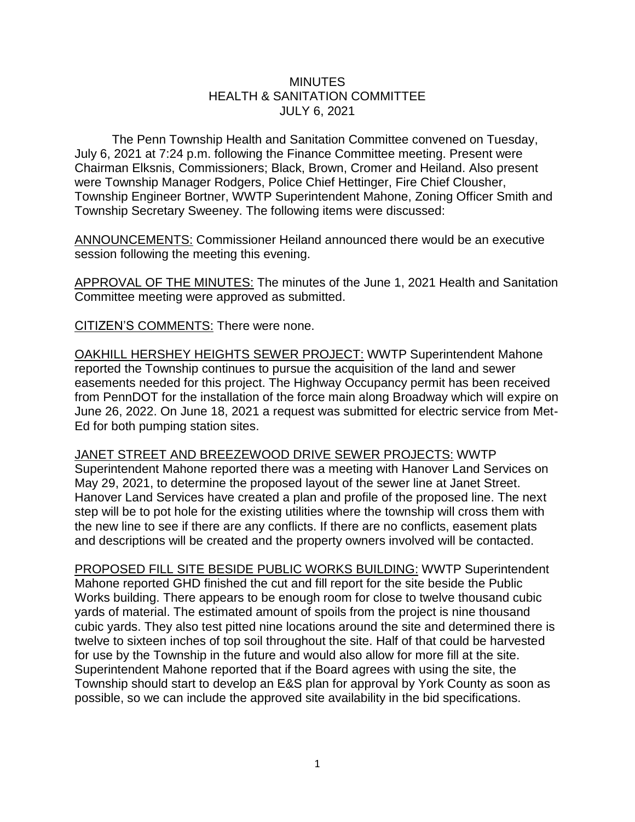## **MINUTES** HEALTH & SANITATION COMMITTEE JULY 6, 2021

The Penn Township Health and Sanitation Committee convened on Tuesday, July 6, 2021 at 7:24 p.m. following the Finance Committee meeting. Present were Chairman Elksnis, Commissioners; Black, Brown, Cromer and Heiland. Also present were Township Manager Rodgers, Police Chief Hettinger, Fire Chief Clousher, Township Engineer Bortner, WWTP Superintendent Mahone, Zoning Officer Smith and Township Secretary Sweeney. The following items were discussed:

ANNOUNCEMENTS: Commissioner Heiland announced there would be an executive session following the meeting this evening.

APPROVAL OF THE MINUTES: The minutes of the June 1, 2021 Health and Sanitation Committee meeting were approved as submitted.

CITIZEN'S COMMENTS: There were none.

OAKHILL HERSHEY HEIGHTS SEWER PROJECT: WWTP Superintendent Mahone reported the Township continues to pursue the acquisition of the land and sewer easements needed for this project. The Highway Occupancy permit has been received from PennDOT for the installation of the force main along Broadway which will expire on June 26, 2022. On June 18, 2021 a request was submitted for electric service from Met-Ed for both pumping station sites.

JANET STREET AND BREEZEWOOD DRIVE SEWER PROJECTS: WWTP Superintendent Mahone reported there was a meeting with Hanover Land Services on May 29, 2021, to determine the proposed layout of the sewer line at Janet Street. Hanover Land Services have created a plan and profile of the proposed line. The next step will be to pot hole for the existing utilities where the township will cross them with the new line to see if there are any conflicts. If there are no conflicts, easement plats and descriptions will be created and the property owners involved will be contacted.

PROPOSED FILL SITE BESIDE PUBLIC WORKS BUILDING: WWTP Superintendent Mahone reported GHD finished the cut and fill report for the site beside the Public Works building. There appears to be enough room for close to twelve thousand cubic yards of material. The estimated amount of spoils from the project is nine thousand cubic yards. They also test pitted nine locations around the site and determined there is twelve to sixteen inches of top soil throughout the site. Half of that could be harvested for use by the Township in the future and would also allow for more fill at the site. Superintendent Mahone reported that if the Board agrees with using the site, the Township should start to develop an E&S plan for approval by York County as soon as possible, so we can include the approved site availability in the bid specifications.